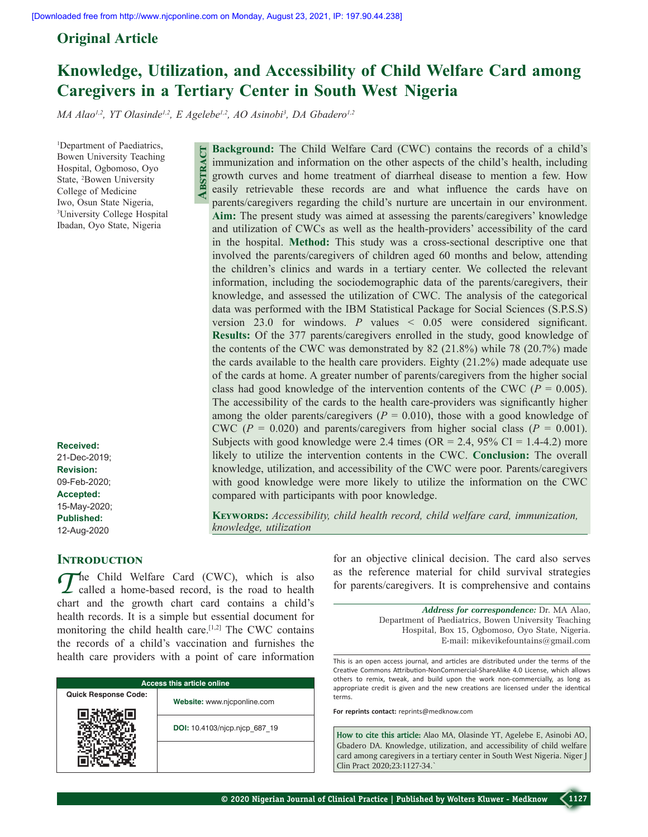## **Original Article**

# **Knowledge, Utilization, and Accessibility of Child Welfare Card among Caregivers in a Tertiary Center in South West  Nigeria**

MA Alao<sup>1,2</sup>, YT Olasinde<sup>1,2</sup>, E Agelebe<sup>1,2</sup>, AO Asinobi<sup>3</sup>, DA Gbadero<sup>1,2</sup>

**Abstract**

1 Department of Paediatrics, Bowen University Teaching Hospital, Ogbomoso, Oyo State, 2 Bowen University College of Medicine Iwo, Osun State Nigeria, 3 University College Hospital Ibadan, Oyo State, Nigeria

**Received:** 21-Dec-2019; **Revision:** 09-Feb-2020; **Accepted:** 15-May-2020; **Published:** 12-Aug-2020

## **INTRODUCTION**

*T*he Child Welfare Card (CWC), which is also called a home‑based record, is the road to health chart and the growth chart card contains a child's health records. It is a simple but essential document for monitoring the child health care.<sup>[1,2]</sup> The CWC contains the records of a child's vaccination and furnishes the health care providers with a point of care information

| <b>Access this article online</b> |                               |  |  |  |
|-----------------------------------|-------------------------------|--|--|--|
| <b>Quick Response Code:</b>       | Website: www.njcponline.com   |  |  |  |
|                                   | DOI: 10.4103/njcp.njcp 687 19 |  |  |  |
|                                   |                               |  |  |  |

**Background:** The Child Welfare Card (CWC) contains the records of a child's immunization and information on the other aspects of the child's health, including growth curves and home treatment of diarrheal disease to mention a few. How easily retrievable these records are and what influence the cards have on parents/caregivers regarding the child's nurture are uncertain in our environment. **Aim:** The present study was aimed at assessing the parents/caregivers' knowledge and utilization of CWCs as well as the health-providers' accessibility of the card in the hospital. **Method:** This study was a cross-sectional descriptive one that involved the parents/caregivers of children aged 60 months and below, attending the children's clinics and wards in a tertiary center. We collected the relevant information, including the sociodemographic data of the parents/caregivers, their knowledge, and assessed the utilization of CWC. The analysis of the categorical data was performed with the IBM Statistical Package for Social Sciences (S.P.S.S) version 23.0 for windows. *P* values < 0.05 were considered significant. **Results:** Of the 377 parents/caregivers enrolled in the study, good knowledge of the contents of the CWC was demonstrated by 82 (21.8%) while 78 (20.7%) made the cards available to the health care providers. Eighty (21.2%) made adequate use of the cards at home. A greater number of parents/caregivers from the higher social class had good knowledge of the intervention contents of the CWC ( $P = 0.005$ ). The accessibility of the cards to the health care–providers was significantly higher among the older parents/caregivers  $(P = 0.010)$ , those with a good knowledge of CWC ( $P = 0.020$ ) and parents/caregivers from higher social class ( $P = 0.001$ ). Subjects with good knowledge were 2.4 times (OR = 2.4, 95% CI = 1.4-4.2) more likely to utilize the intervention contents in the CWC. **Conclusion:** The overall knowledge, utilization, and accessibility of the CWC were poor. Parents/caregivers with good knowledge were more likely to utilize the information on the CWC compared with participants with poor knowledge.

**KEYWORDS:** Accessibility, child health record, child welfare card, immunization, *knowledge, utilization*

> for an objective clinical decision. The card also serves as the reference material for child survival strategies for parents/caregivers. It is comprehensive and contains

> > *Address for correspondence:* Dr. MA Alao, Department of Paediatrics, Bowen University Teaching Hospital, Box 15, Ogbomoso, Oyo State, Nigeria. E‑mail: mikevikefountains@gmail.com

This is an open access journal, and articles are distributed under the terms of the Creative Commons Attribution‑NonCommercial‑ShareAlike 4.0 License, which allows others to remix, tweak, and build upon the work non‑commercially, as long as appropriate credit is given and the new creations are licensed under the identical terms.

**For reprints contact:** reprints@medknow.com

**How to cite this article:** Alao MA, Olasinde YT, Agelebe E, Asinobi AO, Gbadero DA. Knowledge, utilization, and accessibility of child welfare card among caregivers in a tertiary center in South West Nigeria. Niger J Clin Pract 2020;23:1127-34.`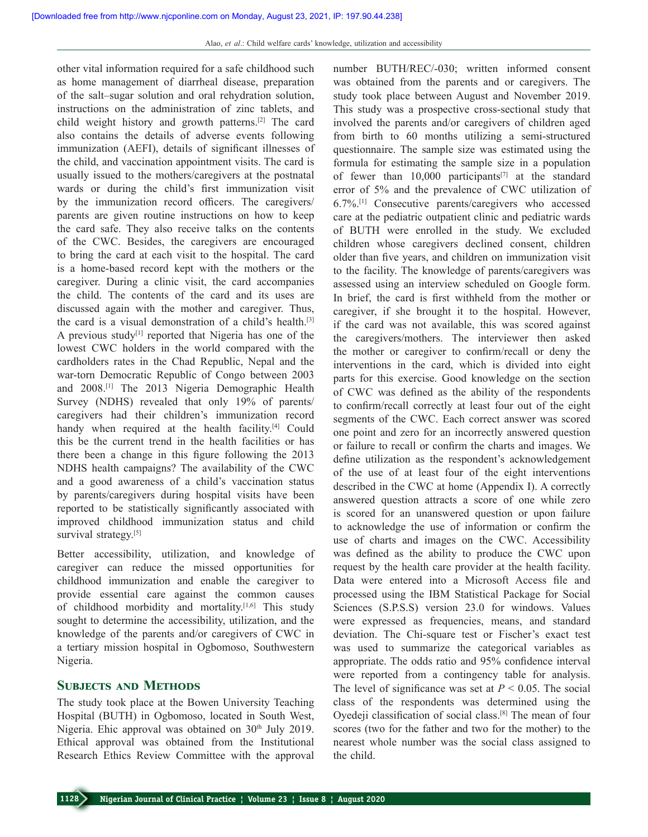other vital information required for a safe childhood such as home management of diarrheal disease, preparation of the salt–sugar solution and oral rehydration solution, instructions on the administration of zinc tablets, and child weight history and growth patterns.[2] The card also contains the details of adverse events following immunization (AEFI), details of significant illnesses of the child, and vaccination appointment visits. The card is usually issued to the mothers/caregivers at the postnatal wards or during the child's first immunization visit by the immunization record officers. The caregivers/ parents are given routine instructions on how to keep the card safe. They also receive talks on the contents of the CWC. Besides, the caregivers are encouraged to bring the card at each visit to the hospital. The card is a home‑based record kept with the mothers or the caregiver. During a clinic visit, the card accompanies the child. The contents of the card and its uses are discussed again with the mother and caregiver. Thus, the card is a visual demonstration of a child's health.[3] A previous study<sup>[1]</sup> reported that Nigeria has one of the lowest CWC holders in the world compared with the cardholders rates in the Chad Republic, Nepal and the war-torn Democratic Republic of Congo between 2003 and 2008.[1] The 2013 Nigeria Demographic Health Survey (NDHS) revealed that only 19% of parents/ caregivers had their children's immunization record handy when required at the health facility.<sup>[4]</sup> Could this be the current trend in the health facilities or has there been a change in this figure following the 2013 NDHS health campaigns? The availability of the CWC and a good awareness of a child's vaccination status by parents/caregivers during hospital visits have been reported to be statistically significantly associated with improved childhood immunization status and child survival strategy.<sup>[5]</sup>

Better accessibility, utilization, and knowledge of caregiver can reduce the missed opportunities for childhood immunization and enable the caregiver to provide essential care against the common causes of childhood morbidity and mortality.<sup>[1,6]</sup> This study sought to determine the accessibility, utilization, and the knowledge of the parents and/or caregivers of CWC in a tertiary mission hospital in Ogbomoso, Southwestern Nigeria.

#### **Subjects and Methods**

The study took place at the Bowen University Teaching Hospital (BUTH) in Ogbomoso, located in South West, Nigeria. Ehic approval was obtained on 30<sup>th</sup> July 2019. Ethical approval was obtained from the Institutional Research Ethics Review Committee with the approval number BUTH/REC/‑030; written informed consent was obtained from the parents and or caregivers. The study took place between August and November 2019. This study was a prospective cross‑sectional study that involved the parents and/or caregivers of children aged from birth to 60 months utilizing a semi‑structured questionnaire. The sample size was estimated using the formula for estimating the sample size in a population of fewer than  $10,000$  participants<sup>[7]</sup> at the standard error of 5% and the prevalence of CWC utilization of 6.7%.[1] Consecutive parents/caregivers who accessed care at the pediatric outpatient clinic and pediatric wards of BUTH were enrolled in the study. We excluded children whose caregivers declined consent, children older than five years, and children on immunization visit to the facility. The knowledge of parents/caregivers was assessed using an interview scheduled on Google form. In brief, the card is first withheld from the mother or caregiver, if she brought it to the hospital. However, if the card was not available, this was scored against the caregivers/mothers. The interviewer then asked the mother or caregiver to confirm/recall or deny the interventions in the card, which is divided into eight parts for this exercise. Good knowledge on the section of CWC was defined as the ability of the respondents to confirm/recall correctly at least four out of the eight segments of the CWC. Each correct answer was scored one point and zero for an incorrectly answered question or failure to recall or confirm the charts and images. We define utilization as the respondent's acknowledgement of the use of at least four of the eight interventions described in the CWC at home (Appendix I). A correctly answered question attracts a score of one while zero is scored for an unanswered question or upon failure to acknowledge the use of information or confirm the use of charts and images on the CWC. Accessibility was defined as the ability to produce the CWC upon request by the health care provider at the health facility. Data were entered into a Microsoft Access file and processed using the IBM Statistical Package for Social Sciences (S.P.S.S) version 23.0 for windows. Values were expressed as frequencies, means, and standard deviation. The Chi‑square test or Fischer's exact test was used to summarize the categorical variables as appropriate. The odds ratio and 95% confidence interval were reported from a contingency table for analysis. The level of significance was set at  $P < 0.05$ . The social class of the respondents was determined using the Oyedeji classification of social class.[8] The mean of four scores (two for the father and two for the mother) to the nearest whole number was the social class assigned to the child.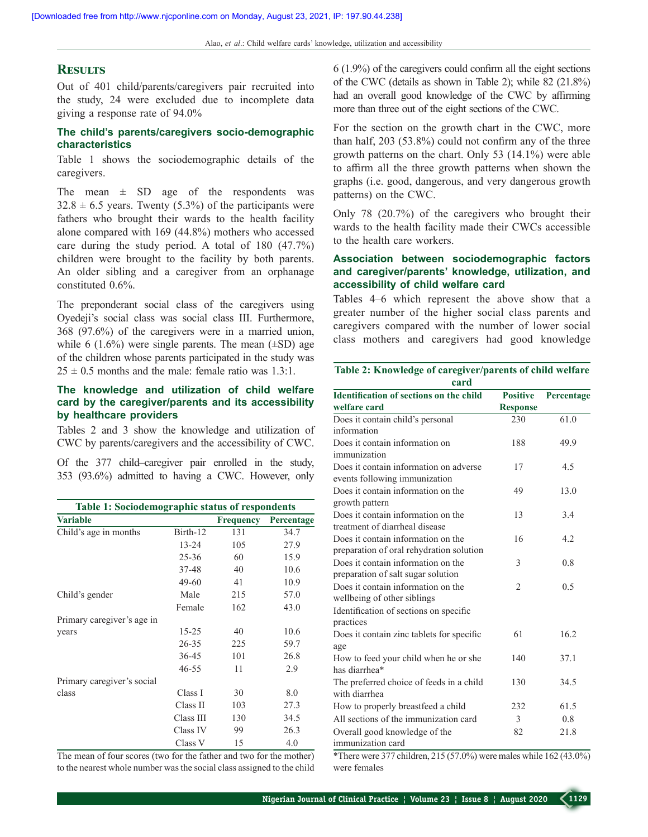#### **Results**

Out of 401 child/parents/caregivers pair recruited into the study, 24 were excluded due to incomplete data giving a response rate of 94.0%

#### **The child's parents/caregivers socio‑demographic characteristics**

Table 1 shows the sociodemographic details of the caregivers.

The mean  $\pm$  SD age of the respondents was  $32.8 \pm 6.5$  years. Twenty (5.3%) of the participants were fathers who brought their wards to the health facility alone compared with 169 (44.8%) mothers who accessed care during the study period. A total of 180 (47.7%) children were brought to the facility by both parents. An older sibling and a caregiver from an orphanage constituted 0.6%.

The preponderant social class of the caregivers using Oyedeji's social class was social class III. Furthermore, 368 (97.6%) of the caregivers were in a married union, while 6 (1.6%) were single parents. The mean  $(\pm SD)$  age of the children whose parents participated in the study was  $25 \pm 0.5$  months and the male: female ratio was 1.3:1.

### **The knowledge and utilization of child welfare card by the caregiver/parents and its accessibility by healthcare providers**

Tables 2 and 3 show the knowledge and utilization of CWC by parents/caregivers and the accessibility of CWC.

Of the 377 child–caregiver pair enrolled in the study, 353 (93.6%) admitted to having a CWC. However, only

| Table 1: Sociodemographic status of respondents |                                           |                          |                             |  |  |
|-------------------------------------------------|-------------------------------------------|--------------------------|-----------------------------|--|--|
| <b>Variable</b>                                 |                                           | <b>Frequency</b>         | Percentage                  |  |  |
| Child's age in months                           | Birth-12                                  | 131                      | 34.7                        |  |  |
|                                                 | $13 - 24$                                 | 105                      | 27.9                        |  |  |
|                                                 | $25 - 36$                                 | 60                       | 15.9                        |  |  |
|                                                 | 37-48                                     | 40                       | 10.6                        |  |  |
|                                                 | 49-60                                     | 41                       | 10.9                        |  |  |
| Child's gender                                  | Male                                      | 215                      | 57.0                        |  |  |
|                                                 | Female                                    | 162                      | 43.0                        |  |  |
| Primary caregiver's age in                      |                                           |                          |                             |  |  |
| years                                           | $15 - 25$                                 | 40                       | 10.6                        |  |  |
|                                                 | $26 - 35$                                 | 225                      | 59.7                        |  |  |
|                                                 | $36 - 45$                                 | 101                      | 26.8                        |  |  |
|                                                 | $46 - 55$                                 | 11                       | 2.9                         |  |  |
| Primary caregiver's social                      |                                           |                          |                             |  |  |
| class                                           | Class I                                   | 30                       | 8.0                         |  |  |
|                                                 | Class II                                  | 103                      | 27.3                        |  |  |
|                                                 | Class III                                 | 130                      | 34.5                        |  |  |
|                                                 | Class IV                                  | 99                       | 26.3                        |  |  |
|                                                 | Class V                                   | 15                       | 4.0                         |  |  |
| $\sim$ $\sim$<br>$\sim$<br>$\mathcal{L}$        | $\mathcal{A}$ $\mathcal{A}$ $\mathcal{A}$ | $\sim$<br>$\blacksquare$ | $\cdot$ 1<br>$-1$ $\lambda$ |  |  |

The mean of four scores (two for the father and two for the mother) to the nearest whole number was the social class assigned to the child 6 (1.9%) of the caregivers could confirm all the eight sections of the CWC (details as shown in Table 2); while 82 (21.8%) had an overall good knowledge of the CWC by affirming more than three out of the eight sections of the CWC.

For the section on the growth chart in the CWC, more than half, 203 (53.8%) could not confirm any of the three growth patterns on the chart. Only 53 (14.1%) were able to affirm all the three growth patterns when shown the graphs (i.e. good, dangerous, and very dangerous growth patterns) on the CWC.

Only 78 (20.7%) of the caregivers who brought their wards to the health facility made their CWCs accessible to the health care workers.

#### **Association between sociodemographic factors and caregiver/parents' knowledge, utilization, and accessibility of child welfare card**

Tables 4–6 which represent the above show that a greater number of the higher social class parents and caregivers compared with the number of lower social class mothers and caregivers had good knowledge

| Table 2: Knowledge of caregiver/parents of child welfare |  |
|----------------------------------------------------------|--|
| card                                                     |  |

| <b>Identification of sections on the child</b> | <b>Positive</b> | Percentage |
|------------------------------------------------|-----------------|------------|
| welfare card                                   | <b>Response</b> |            |
| Does it contain child's personal               | 230             | 61.0       |
| information                                    |                 |            |
| Does it contain information on                 | 188             | 49.9       |
| immunization                                   |                 |            |
| Does it contain information on adverse         | 17              | 4.5        |
| events following immunization                  |                 |            |
| Does it contain information on the             | 49              | 13.0       |
| growth pattern                                 |                 |            |
| Does it contain information on the             | 13              | 3.4        |
| treatment of diarrheal disease                 |                 |            |
| Does it contain information on the             | 16              | 4.2        |
| preparation of oral rehydration solution       |                 |            |
| Does it contain information on the             | 3               | 0.8        |
| preparation of salt sugar solution             |                 |            |
| Does it contain information on the             | $\mathfrak{D}$  | 0.5        |
| wellbeing of other siblings                    |                 |            |
| Identification of sections on specific         |                 |            |
| practices                                      |                 |            |
| Does it contain zinc tablets for specific      | 61              | 16.2       |
| age                                            |                 |            |
| How to feed your child when he or she          | 140             | 37.1       |
| has diarrhea*                                  |                 |            |
| The preferred choice of feeds in a child       | 130             | 34.5       |
| with diarrhea                                  |                 |            |
| How to properly breastfeed a child             | 232             | 61.5       |
| All sections of the immunization card          | 3               | 0.8        |
| Overall good knowledge of the                  | 82              | 21.8       |
| immunization card                              |                 |            |

\*There were 377 children, 215 (57.0%) were males while 162 (43.0%) were females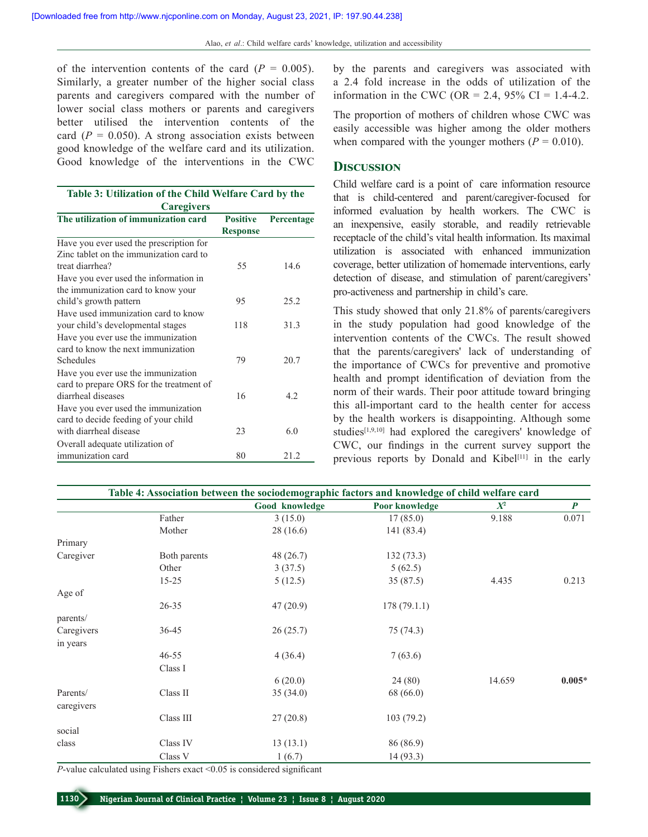of the intervention contents of the card  $(P = 0.005)$ . Similarly, a greater number of the higher social class parents and caregivers compared with the number of lower social class mothers or parents and caregivers better utilised the intervention contents of the card  $(P = 0.050)$ . A strong association exists between good knowledge of the welfare card and its utilization. Good knowledge of the interventions in the CWC

| Table 3: Utilization of the Child Welfare Card by the<br><b>Caregivers</b>                           |                                    |            |  |  |
|------------------------------------------------------------------------------------------------------|------------------------------------|------------|--|--|
| The utilization of immunization card                                                                 | <b>Positive</b><br><b>Response</b> | Percentage |  |  |
| Have you ever used the prescription for                                                              |                                    |            |  |  |
| Zinc tablet on the immunization card to<br>treat diarrhea?                                           | 55                                 | 14.6       |  |  |
| Have you ever used the information in<br>the immunization card to know your                          |                                    |            |  |  |
| child's growth pattern                                                                               | 95                                 | 25.2       |  |  |
| Have used immunization card to know<br>your child's developmental stages                             | 118                                | 31.3       |  |  |
| Have you ever use the immunization<br>card to know the next immunization                             |                                    |            |  |  |
| Schedules                                                                                            | 79                                 | 20.7       |  |  |
| Have you ever use the immunization<br>card to prepare ORS for the treatment of<br>diarrheal diseases | 16                                 | 4.2        |  |  |
| Have you ever used the immunization<br>card to decide feeding of your child                          |                                    |            |  |  |
| with diarrheal disease                                                                               | 23                                 | 6.0        |  |  |
| Overall adequate utilization of                                                                      |                                    |            |  |  |
| immunization card                                                                                    | 80                                 | 21.2       |  |  |

by the parents and caregivers was associated with a 2.4 fold increase in the odds of utilization of the information in the CWC (OR = 2.4, 95% CI = 1.4-4.2.

The proportion of mothers of children whose CWC was easily accessible was higher among the older mothers when compared with the younger mothers  $(P = 0.010)$ .

#### **Discussion**

Child welfare card is a point of care information resource that is child-centered and parent/caregiver-focused for informed evaluation by health workers. The CWC is an inexpensive, easily storable, and readily retrievable receptacle of the child's vital health information. Its maximal utilization is associated with enhanced immunization coverage, better utilization of homemade interventions, early detection of disease, and stimulation of parent/caregivers' pro‑activeness and partnership in child's care.

This study showed that only 21.8% of parents/caregivers in the study population had good knowledge of the intervention contents of the CWCs. The result showed that the parents/caregivers' lack of understanding of the importance of CWCs for preventive and promotive health and prompt identification of deviation from the norm of their wards. Their poor attitude toward bringing this all-important card to the health center for access by the health workers is disappointing. Although some studies[1,9,10] had explored the caregivers' knowledge of CWC, our findings in the current survey support the previous reports by Donald and Kibel<sup>[11]</sup> in the early

|            | Table 4: Association between the sociodemographic factors and knowledge of child welfare card |                |                |        |                  |  |
|------------|-----------------------------------------------------------------------------------------------|----------------|----------------|--------|------------------|--|
|            |                                                                                               | Good knowledge | Poor knowledge | $X^2$  | $\boldsymbol{P}$ |  |
|            | Father                                                                                        | 3(15.0)        | 17(85.0)       | 9.188  | 0.071            |  |
|            | Mother                                                                                        | 28 (16.6)      | 141 (83.4)     |        |                  |  |
| Primary    |                                                                                               |                |                |        |                  |  |
| Caregiver  | Both parents                                                                                  | 48 (26.7)      | 132(73.3)      |        |                  |  |
|            | Other                                                                                         | 3(37.5)        | 5(62.5)        |        |                  |  |
|            | $15 - 25$                                                                                     | 5(12.5)        | 35(87.5)       | 4.435  | 0.213            |  |
| Age of     |                                                                                               |                |                |        |                  |  |
|            | $26 - 35$                                                                                     | 47(20.9)       | 178(79.1.1)    |        |                  |  |
| parents/   |                                                                                               |                |                |        |                  |  |
| Caregivers | $36 - 45$                                                                                     | 26(25.7)       | 75(74.3)       |        |                  |  |
| in years   |                                                                                               |                |                |        |                  |  |
|            | $46 - 55$                                                                                     | 4(36.4)        | 7(63.6)        |        |                  |  |
|            | Class I                                                                                       |                |                |        |                  |  |
|            |                                                                                               | 6(20.0)        | 24(80)         | 14.659 | $0.005*$         |  |
| Parents/   | Class II                                                                                      | 35(34.0)       | 68 (66.0)      |        |                  |  |
| caregivers |                                                                                               |                |                |        |                  |  |
|            | Class III                                                                                     | 27(20.8)       | 103(79.2)      |        |                  |  |
| social     |                                                                                               |                |                |        |                  |  |
| class      | Class IV                                                                                      | 13(13.1)       | 86 (86.9)      |        |                  |  |
|            | Class V                                                                                       | 1(6.7)         | 14 (93.3)      |        |                  |  |

*P*-value calculated using Fishers exact <0.05 is considered significant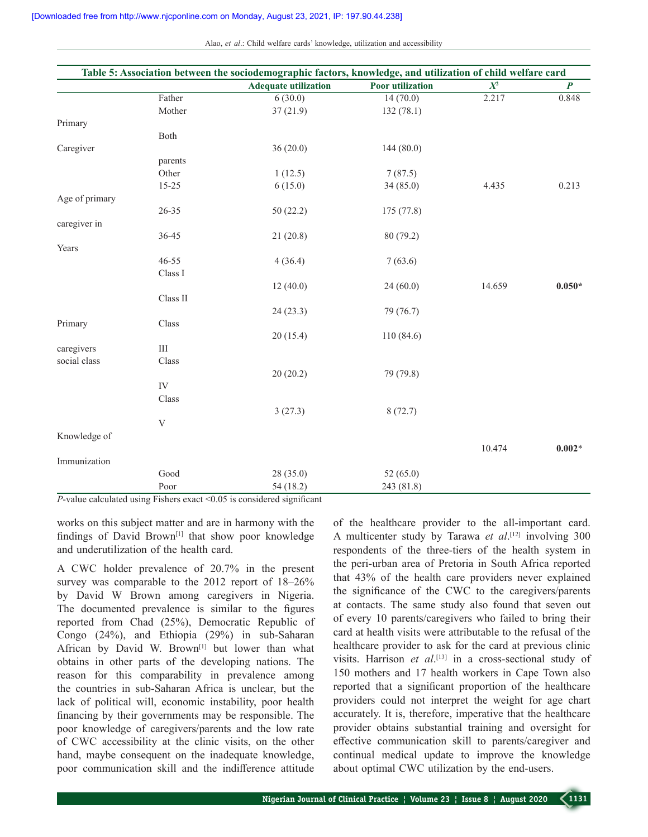Alao, *et al.*: Child welfare cards' knowledge, utilization and accessibility

|                |            | Table 5: Association between the sociodemographic factors, knowledge, and utilization of child welfare card |                         |                  |                  |
|----------------|------------|-------------------------------------------------------------------------------------------------------------|-------------------------|------------------|------------------|
|                |            | <b>Adequate utilization</b>                                                                                 | <b>Poor</b> utilization | $\overline{X^2}$ | $\boldsymbol{P}$ |
|                | Father     | 6(30.0)                                                                                                     | 14(70.0)                | 2.217            | 0.848            |
|                | Mother     | 37(21.9)                                                                                                    | 132(78.1)               |                  |                  |
| Primary        |            |                                                                                                             |                         |                  |                  |
|                | Both       |                                                                                                             |                         |                  |                  |
| Caregiver      |            | 36(20.0)                                                                                                    | 144(80.0)               |                  |                  |
|                | parents    |                                                                                                             |                         |                  |                  |
|                | Other      | 1(12.5)                                                                                                     | 7(87.5)                 |                  |                  |
|                | $15 - 25$  | 6(15.0)                                                                                                     | 34(85.0)                | 4.435            | 0.213            |
| Age of primary |            |                                                                                                             |                         |                  |                  |
|                | 26-35      | 50(22.2)                                                                                                    | 175 (77.8)              |                  |                  |
| caregiver in   |            |                                                                                                             |                         |                  |                  |
|                | 36-45      | 21(20.8)                                                                                                    | 80 (79.2)               |                  |                  |
| Years          |            |                                                                                                             |                         |                  |                  |
|                | $46 - 55$  | 4(36.4)                                                                                                     | 7(63.6)                 |                  |                  |
|                | Class I    |                                                                                                             |                         |                  |                  |
|                |            | 12(40.0)                                                                                                    | 24(60.0)                | 14.659           | $0.050*$         |
|                | Class II   |                                                                                                             |                         |                  |                  |
|                |            | 24 (23.3)                                                                                                   | 79 (76.7)               |                  |                  |
| Primary        | Class      |                                                                                                             |                         |                  |                  |
|                |            | 20(15.4)                                                                                                    | 110 (84.6)              |                  |                  |
| caregivers     | $\rm III$  |                                                                                                             |                         |                  |                  |
| social class   | Class      |                                                                                                             |                         |                  |                  |
|                |            | 20(20.2)                                                                                                    | 79 (79.8)               |                  |                  |
|                | ${\rm IV}$ |                                                                                                             |                         |                  |                  |
|                |            |                                                                                                             |                         |                  |                  |
|                | Class      |                                                                                                             |                         |                  |                  |
|                |            | 3(27.3)                                                                                                     | 8(72.7)                 |                  |                  |
|                | V          |                                                                                                             |                         |                  |                  |
| Knowledge of   |            |                                                                                                             |                         |                  |                  |
|                |            |                                                                                                             |                         | 10.474           | $0.002*$         |
| Immunization   |            |                                                                                                             |                         |                  |                  |
|                | Good       | 28 (35.0)                                                                                                   | 52(65.0)                |                  |                  |
|                | Poor       | 54 (18.2)                                                                                                   | 243 (81.8)              |                  |                  |

*P*-value calculated using Fishers exact <0.05 is considered significant

works on this subject matter and are in harmony with the findings of David Brown<sup>[1]</sup> that show poor knowledge and underutilization of the health card.

A CWC holder prevalence of 20.7% in the present survey was comparable to the 2012 report of 18–26% by David W Brown among caregivers in Nigeria. The documented prevalence is similar to the figures reported from Chad (25%), Democratic Republic of Congo (24%), and Ethiopia (29%) in sub-Saharan African by David W. Brown[1] but lower than what obtains in other parts of the developing nations. The reason for this comparability in prevalence among the countries in sub‑Saharan Africa is unclear, but the lack of political will, economic instability, poor health financing by their governments may be responsible. The poor knowledge of caregivers/parents and the low rate of CWC accessibility at the clinic visits, on the other hand, maybe consequent on the inadequate knowledge, poor communication skill and the indifference attitude of the healthcare provider to the all-important card. A multicenter study by Tarawa *et al*. [12] involving 300 respondents of the three-tiers of the health system in the peri‑urban area of Pretoria in South Africa reported that 43% of the health care providers never explained the significance of the CWC to the caregivers/parents at contacts. The same study also found that seven out of every 10 parents/caregivers who failed to bring their card at health visits were attributable to the refusal of the healthcare provider to ask for the card at previous clinic visits. Harrison *et al*.<sup>[13]</sup> in a cross-sectional study of 150 mothers and 17 health workers in Cape Town also reported that a significant proportion of the healthcare providers could not interpret the weight for age chart accurately. It is, therefore, imperative that the healthcare provider obtains substantial training and oversight for effective communication skill to parents/caregiver and continual medical update to improve the knowledge about optimal CWC utilization by the end-users.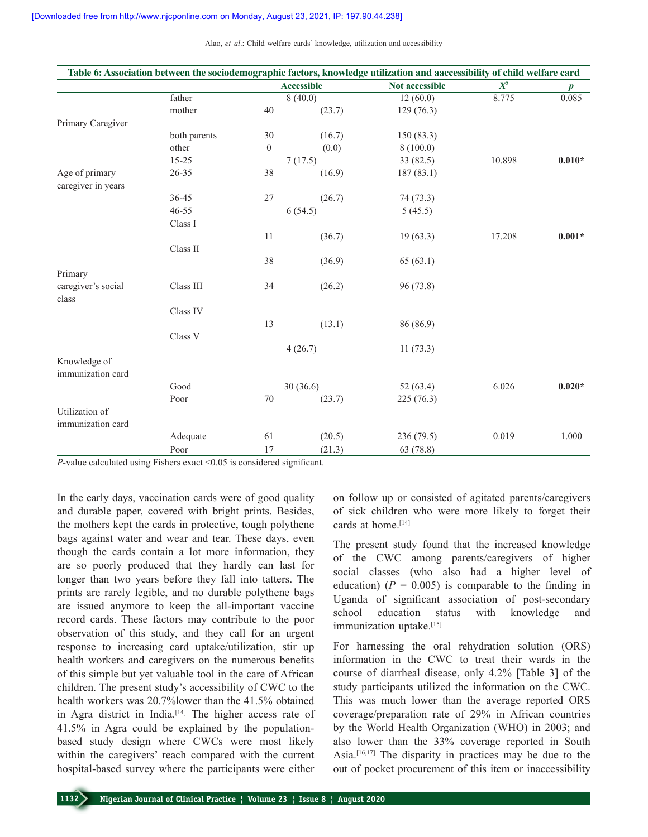Alao, *et al.*: Child welfare cards' knowledge, utilization and accessibility

| Table 6: Association between the sociodemographic factors, knowledge utilization and aaccessibility of child welfare card |              |                   |         |                |        |                  |
|---------------------------------------------------------------------------------------------------------------------------|--------------|-------------------|---------|----------------|--------|------------------|
|                                                                                                                           |              | <b>Accessible</b> |         | Not accessible | $X^2$  | $\boldsymbol{p}$ |
|                                                                                                                           | father       |                   | 8(40.0) | 12(60.0)       | 8.775  | 0.085            |
|                                                                                                                           | mother       | 40                | (23.7)  | 129(76.3)      |        |                  |
| Primary Caregiver                                                                                                         |              |                   |         |                |        |                  |
|                                                                                                                           | both parents | 30                | (16.7)  | 150(83.3)      |        |                  |
|                                                                                                                           | other        | $\boldsymbol{0}$  | (0.0)   | 8(100.0)       |        |                  |
|                                                                                                                           | $15 - 25$    |                   | 7(17.5) | 33 (82.5)      | 10.898 | $0.010*$         |
| Age of primary                                                                                                            | 26-35        | 38                | (16.9)  | 187 (83.1)     |        |                  |
| caregiver in years                                                                                                        |              |                   |         |                |        |                  |
|                                                                                                                           | 36-45        | 27                | (26.7)  | 74 (73.3)      |        |                  |
|                                                                                                                           | $46 - 55$    |                   | 6(54.5) | 5(45.5)        |        |                  |
|                                                                                                                           | Class I      |                   |         |                |        |                  |
|                                                                                                                           |              | 11                | (36.7)  | 19(63.3)       | 17.208 | $0.001*$         |
|                                                                                                                           | Class II     |                   |         |                |        |                  |
|                                                                                                                           |              | 38                | (36.9)  | 65(63.1)       |        |                  |
| Primary                                                                                                                   |              |                   |         |                |        |                  |
| caregiver's social                                                                                                        | Class III    | 34                | (26.2)  | 96 (73.8)      |        |                  |
| class                                                                                                                     |              |                   |         |                |        |                  |
|                                                                                                                           | Class IV     |                   |         |                |        |                  |
|                                                                                                                           |              | 13                | (13.1)  | 86 (86.9)      |        |                  |
|                                                                                                                           | Class V      |                   |         |                |        |                  |
|                                                                                                                           |              | 4(26.7)           |         | 11(73.3)       |        |                  |
| Knowledge of                                                                                                              |              |                   |         |                |        |                  |
| immunization card                                                                                                         |              |                   |         |                |        |                  |
|                                                                                                                           | Good         | 30(36.6)          |         | 52 $(63.4)$    | 6.026  | $0.020*$         |
|                                                                                                                           | Poor         | 70                | (23.7)  | 225(76.3)      |        |                  |
| Utilization of                                                                                                            |              |                   |         |                |        |                  |
| immunization card                                                                                                         |              |                   |         |                |        |                  |
|                                                                                                                           | Adequate     | 61                | (20.5)  | 236 (79.5)     | 0.019  | 1.000            |
|                                                                                                                           | Poor         | 17                | (21.3)  | 63 (78.8)      |        |                  |

*P*-value calculated using Fishers exact <0.05 is considered significant.

In the early days, vaccination cards were of good quality and durable paper, covered with bright prints. Besides, the mothers kept the cards in protective, tough polythene bags against water and wear and tear. These days, even though the cards contain a lot more information, they are so poorly produced that they hardly can last for longer than two years before they fall into tatters. The prints are rarely legible, and no durable polythene bags are issued anymore to keep the all‑important vaccine record cards. These factors may contribute to the poor observation of this study, and they call for an urgent response to increasing card uptake/utilization, stir up health workers and caregivers on the numerous benefits of this simple but yet valuable tool in the care of African children. The present study's accessibility of CWC to the health workers was 20.7%lower than the 41.5% obtained in Agra district in India.<sup>[14]</sup> The higher access rate of 41.5% in Agra could be explained by the populationbased study design where CWCs were most likely within the caregivers' reach compared with the current hospital-based survey where the participants were either

on follow up or consisted of agitated parents/caregivers of sick children who were more likely to forget their cards at home.<sup>[14]</sup>

The present study found that the increased knowledge of the CWC among parents/caregivers of higher social classes (who also had a higher level of education)  $(P = 0.005)$  is comparable to the finding in Uganda of significant association of post-secondary school education status with knowledge and immunization uptake.[15]

For harnessing the oral rehydration solution (ORS) information in the CWC to treat their wards in the course of diarrheal disease, only 4.2% [Table 3] of the study participants utilized the information on the CWC. This was much lower than the average reported ORS coverage/preparation rate of 29% in African countries by the World Health Organization (WHO) in 2003; and also lower than the 33% coverage reported in South Asia.[16,17] The disparity in practices may be due to the out of pocket procurement of this item or inaccessibility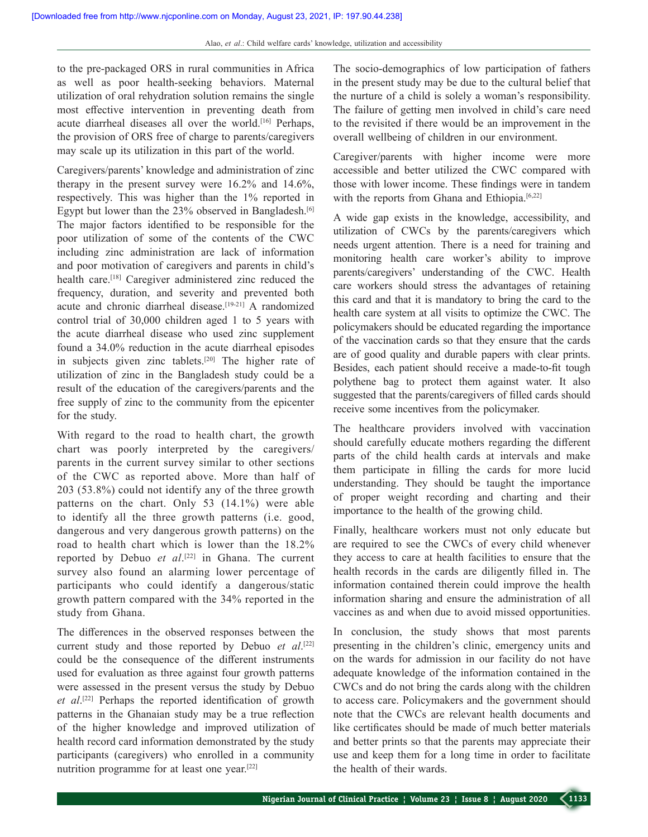to the pre‑packaged ORS in rural communities in Africa as well as poor health‑seeking behaviors. Maternal utilization of oral rehydration solution remains the single most effective intervention in preventing death from acute diarrheal diseases all over the world.<sup>[16]</sup> Perhaps, the provision of ORS free of charge to parents/caregivers may scale up its utilization in this part of the world.

Caregivers/parents' knowledge and administration of zinc therapy in the present survey were 16.2% and 14.6%, respectively. This was higher than the 1% reported in Egypt but lower than the 23% observed in Bangladesh.[6] The major factors identified to be responsible for the poor utilization of some of the contents of the CWC including zinc administration are lack of information and poor motivation of caregivers and parents in child's health care.<sup>[18]</sup> Caregiver administered zinc reduced the frequency, duration, and severity and prevented both acute and chronic diarrheal disease.<sup>[19-21]</sup> A randomized control trial of 30,000 children aged 1 to 5 years with the acute diarrheal disease who used zinc supplement found a 34.0% reduction in the acute diarrheal episodes in subjects given zinc tablets.[20] The higher rate of utilization of zinc in the Bangladesh study could be a result of the education of the caregivers/parents and the free supply of zinc to the community from the epicenter for the study.

With regard to the road to health chart, the growth chart was poorly interpreted by the caregivers/ parents in the current survey similar to other sections of the CWC as reported above. More than half of 203 (53.8%) could not identify any of the three growth patterns on the chart. Only 53 (14.1%) were able to identify all the three growth patterns (i.e. good, dangerous and very dangerous growth patterns) on the road to health chart which is lower than the 18.2% reported by Debuo *et al*. [22] in Ghana. The current survey also found an alarming lower percentage of participants who could identify a dangerous/static growth pattern compared with the 34% reported in the study from Ghana.

The differences in the observed responses between the current study and those reported by Debuo *et al*. [22] could be the consequence of the different instruments used for evaluation as three against four growth patterns were assessed in the present versus the study by Debuo *et al*. [22] Perhaps the reported identification of growth patterns in the Ghanaian study may be a true reflection of the higher knowledge and improved utilization of health record card information demonstrated by the study participants (caregivers) who enrolled in a community nutrition programme for at least one year.[22]

The socio-demographics of low participation of fathers in the present study may be due to the cultural belief that the nurture of a child is solely a woman's responsibility. The failure of getting men involved in child's care need to the revisited if there would be an improvement in the overall wellbeing of children in our environment.

Caregiver/parents with higher income were more accessible and better utilized the CWC compared with those with lower income. These findings were in tandem with the reports from Ghana and Ethiopia.<sup>[6,22]</sup>

A wide gap exists in the knowledge, accessibility, and utilization of CWCs by the parents/caregivers which needs urgent attention. There is a need for training and monitoring health care worker's ability to improve parents/caregivers' understanding of the CWC. Health care workers should stress the advantages of retaining this card and that it is mandatory to bring the card to the health care system at all visits to optimize the CWC. The policymakers should be educated regarding the importance of the vaccination cards so that they ensure that the cards are of good quality and durable papers with clear prints. Besides, each patient should receive a made-to-fit tough polythene bag to protect them against water. It also suggested that the parents/caregivers of filled cards should receive some incentives from the policymaker.

The healthcare providers involved with vaccination should carefully educate mothers regarding the different parts of the child health cards at intervals and make them participate in filling the cards for more lucid understanding. They should be taught the importance of proper weight recording and charting and their importance to the health of the growing child.

Finally, healthcare workers must not only educate but are required to see the CWCs of every child whenever they access to care at health facilities to ensure that the health records in the cards are diligently filled in. The information contained therein could improve the health information sharing and ensure the administration of all vaccines as and when due to avoid missed opportunities.

In conclusion, the study shows that most parents presenting in the children's clinic, emergency units and on the wards for admission in our facility do not have adequate knowledge of the information contained in the CWCs and do not bring the cards along with the children to access care. Policymakers and the government should note that the CWCs are relevant health documents and like certificates should be made of much better materials and better prints so that the parents may appreciate their use and keep them for a long time in order to facilitate the health of their wards.